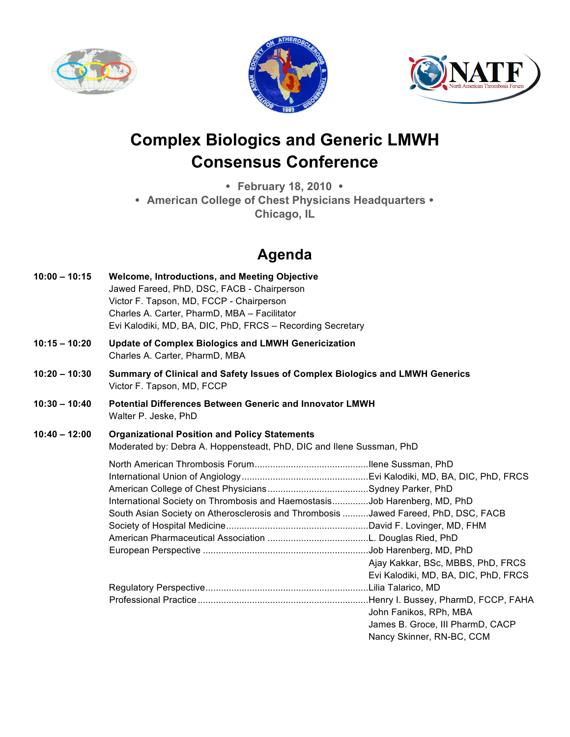





## **Complex Biologics and Generic LMWH Consensus Conference**

• **February 18, 2010** • • **American College of Chest Physicians Headquarters** • **Chicago, IL**

## **Agenda**

| $10:00 - 10:15$ | <b>Welcome, Introductions, and Meeting Objective</b><br>Jawed Fareed, PhD, DSC, FACB - Chairperson<br>Victor F. Tapson, MD, FCCP - Chairperson<br>Charles A. Carter, PharmD, MBA - Facilitator<br>Evi Kalodiki, MD, BA, DIC, PhD, FRCS - Recording Secretary |                                                                                                     |
|-----------------|--------------------------------------------------------------------------------------------------------------------------------------------------------------------------------------------------------------------------------------------------------------|-----------------------------------------------------------------------------------------------------|
| $10:15 - 10:20$ | <b>Update of Complex Biologics and LMWH Genericization</b><br>Charles A. Carter, PharmD, MBA                                                                                                                                                                 |                                                                                                     |
| $10:20 - 10:30$ | Summary of Clinical and Safety Issues of Complex Biologics and LMWH Generics<br>Victor F. Tapson, MD, FCCP                                                                                                                                                   |                                                                                                     |
| $10:30 - 10:40$ | <b>Potential Differences Between Generic and Innovator LMWH</b><br>Walter P. Jeske, PhD                                                                                                                                                                      |                                                                                                     |
| $10:40 - 12:00$ | <b>Organizational Position and Policy Statements</b><br>Moderated by: Debra A. Hoppensteadt, PhD, DIC and Ilene Sussman, PhD                                                                                                                                 |                                                                                                     |
|                 | International Society on Thrombosis and HaemostasisJob Harenberg, MD, PhD<br>South Asian Society on Atherosclerosis and Thrombosis Jawed Fareed, PhD, DSC, FACB                                                                                              | Ajay Kakkar, BSc, MBBS, PhD, FRCS<br>Evi Kalodiki, MD, BA, DIC, PhD, FRCS<br>John Fanikos, RPh, MBA |
|                 |                                                                                                                                                                                                                                                              | James B. Groce, III PharmD, CACP<br>Nancy Skinner, RN-BC, CCM                                       |